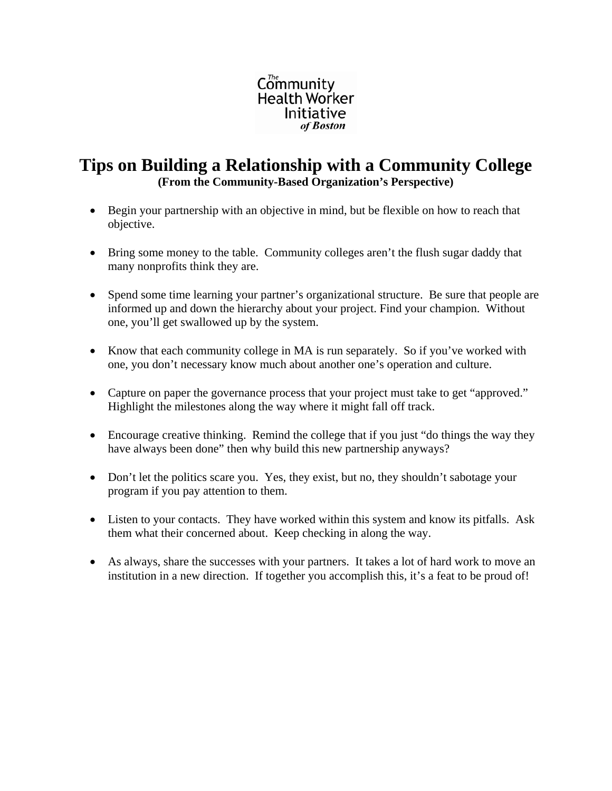

## **Tips on Building a Relationship with a Community College (From the Community-Based Organization's Perspective)**

- Begin your partnership with an objective in mind, but be flexible on how to reach that objective.
- Bring some money to the table. Community colleges aren't the flush sugar daddy that many nonprofits think they are.
- Spend some time learning your partner's organizational structure. Be sure that people are informed up and down the hierarchy about your project. Find your champion. Without one, you'll get swallowed up by the system.
- Know that each community college in MA is run separately. So if you've worked with one, you don't necessary know much about another one's operation and culture.
- Capture on paper the governance process that your project must take to get "approved." Highlight the milestones along the way where it might fall off track.
- Encourage creative thinking. Remind the college that if you just "do things the way they have always been done" then why build this new partnership anyways?
- Don't let the politics scare you. Yes, they exist, but no, they shouldn't sabotage your program if you pay attention to them.
- Listen to your contacts. They have worked within this system and know its pitfalls. Ask them what their concerned about. Keep checking in along the way.
- As always, share the successes with your partners. It takes a lot of hard work to move an institution in a new direction. If together you accomplish this, it's a feat to be proud of!